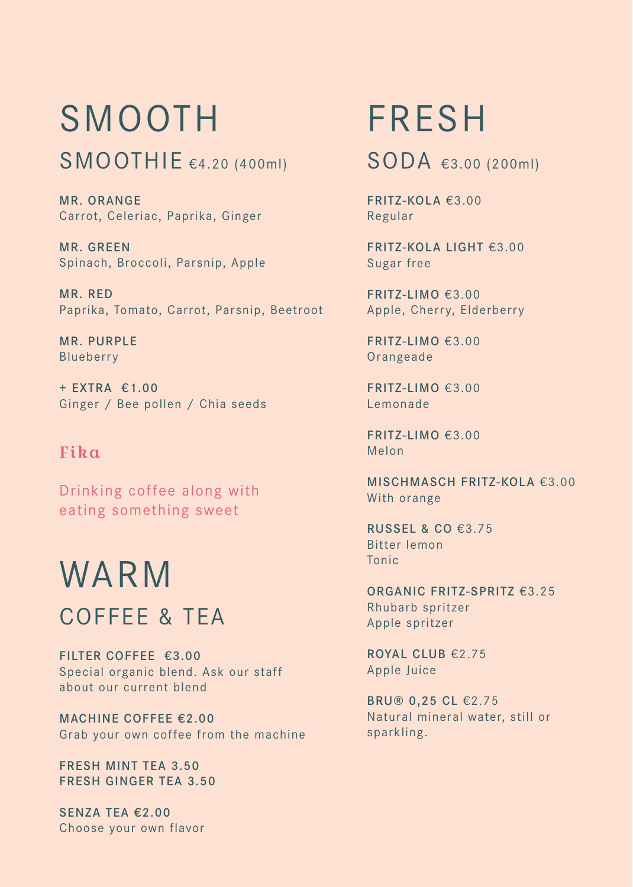## SMOOTH SMOOTHIE €4.20 (400ml)

MR. ORANGE Carrot, Celeriac, Paprika, Ginger

MR. GREEN Spinach, Broccoli, Parsnip, Apple

MR. RED Paprika, Tomato, Carrot, Parsnip, Beetroot

MR. PURPLE Blueberry

 $+$  FXTRA  $\epsilon$ 1.00 Ginger / Bee pollen / Chia seeds

### Fika

Drinking coffee along with eating something sweet

## WARM COFFEE & TEA

FILTER COFFEE €3.00 Special organic blend. Ask our staff about our current blend

MACHINE COFFEE €2.00 Grab your own coffee from the machine

FRESH MINT TEA 3.50 FRESH GINGER TEA 3.50

SENZA TEA €2.00 Choose your own flavor

## FRESH

### SODA €3.00 (200ml)

FRITZ-KOLA €3.00 Regular

FRITZ-KOLA LIGHT €3.00 Sugar free

FRITZ-LIMO €3.00 Apple, Cherry, Elderberry

FRITZ-LIMO  $€3.00$ Orangeade

FRITZ-LIMO €3.00 Lemonade

FRITZ-LIMO €3.00 Melon

MISCHMASCH FRITZ-KOLA €3.00 With orange

RUSSEL & CO €3.75 Bitter lemon Tonic

ORGANIC FRITZ-SPRITZ €3.25 Rhubarb spritzer Apple spritzer

ROYAL CLUB €2.75 Apple Juice

BRU® 0,25 CL €2.75 Natural mineral water, still or sparkling.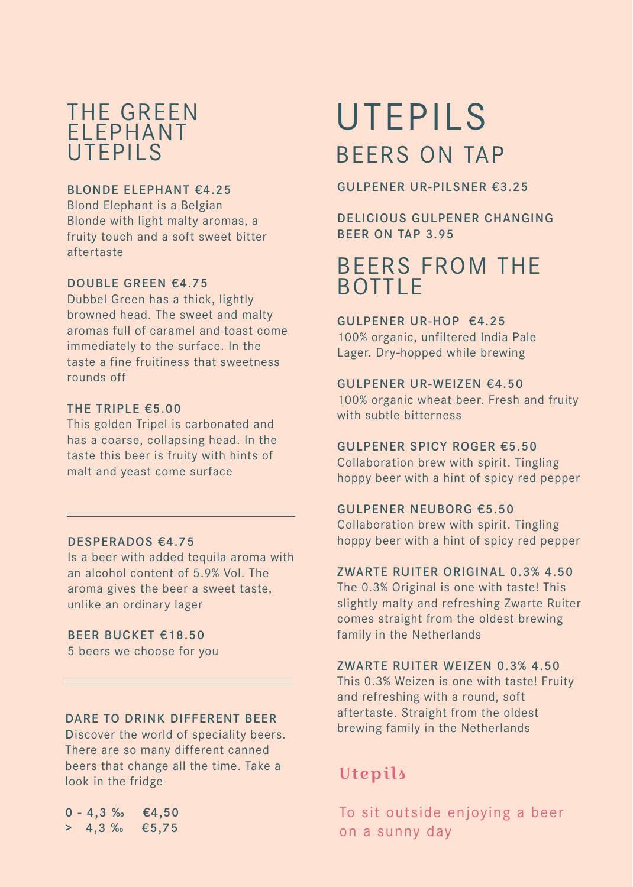### THE GREEN ELEPHANT UTEPILS

### BLONDE ELEPHANT €4.25

Blond Elephant is a Belgian Blonde with light malty aromas, a fruity touch and a soft sweet bitter aftertaste

### DOUBLE GREEN €4.75

Dubbel Green has a thick, lightly browned head. The sweet and malty aromas full of caramel and toast come immediately to the surface. In the taste a fine fruitiness that sweetness rounds off

#### THE TRIPLE  $€5.00$

This golden Tripel is carbonated and has a coarse, collapsing head. In the taste this beer is fruity with hints of malt and yeast come surface

#### DESPERADOS €4.75

<u> Alexandria (m. 1888)</u>

Is a beer with added tequila aroma with an alcohol content of 5.9% Vol. The aroma gives the beer a sweet taste, unlike an ordinary lager

#### BEER BUCKET €18.50

5 beers we choose for you

### DARE TO DRINK DIFFERENT BEER

Discover the world of speciality beers. There are so many different canned beers that change all the time. Take a look in the fridge

0 - 4,3 ‰ €4,50 >  $4,3\%$  €5,75

## UTEPILS BEERS ON TAP

GULPENER UR-PILSNER €3.25

DELICIOUS GULPENER CHANGING BEER ON TAP 3.95

### BEERS FROM THE **BOTTLE**

#### GULPENER UR-HOP €4.25

100% organic, unfiltered India Pale Lager. Dry-hopped while brewing

#### GULPENER UR-WEIZEN €4.50

100% organic wheat beer. Fresh and fruity with subtle bitterness

#### GULPENER SPICY ROGER €5.50

Collaboration brew with spirit. Tingling hoppy beer with a hint of spicy red pepper

#### GULPENER NEUBORG €5.50

Collaboration brew with spirit. Tingling hoppy beer with a hint of spicy red pepper

### ZWARTE RUITER ORIGINAL 0.3% 4.50

The 0.3% Original is one with taste! This slightly malty and refreshing Zwarte Ruiter comes straight from the oldest brewing family in the Netherlands

### ZWARTE RUITER WEIZEN 0.3% 4.50

This 0.3% Weizen is one with taste! Fruity and refreshing with a round, soft aftertaste. Straight from the oldest brewing family in the Netherlands

### Utepils

To sit outside enjoying a beer on a sunny day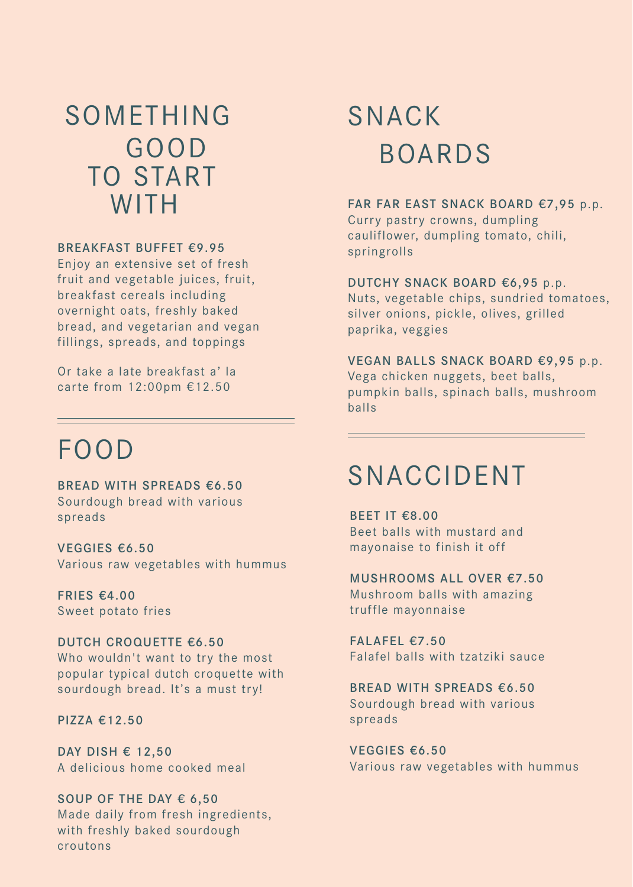### SOMETHING GOOD TO START WITH

#### BREAKFAST BUFFET €9.95

Enjoy an extensive set of fresh fruit and vegetable juices, fruit, breakfast cereals including overnight oats, freshly baked bread, and vegetarian and vegan fillings, spreads, and toppings

Or take a late breakfast a' la carte from 12:00pm €12.50

## FOOD

### BREAD WITH SPREADS €6.50

Sourdough bread with various spreads

VEGGIES €6.50 Various raw vegetables with hummus

FRIES €4.00 Sweet potato fries

DUTCH CROQUETTE €6.50 Who wouldn't want to try the most popular typical dutch croquette with sourdough bread. It's a must try!

### PIZZA €12.50

DAY DISH € 12,50 A delicious home cooked meal

SOUP OF THE DAY  $\epsilon$  6.50 Made daily from fresh ingredients, with freshly baked sourdough croutons

## SNACK BOARDS

#### FAR FAR EAST SNACK BOARD €7,95 p.p.

Curry pastry crowns, dumpling cauliflower, dumpling tomato, chili, springrolls

#### DUTCHY SNACK BOARD €6,95 p.p.

Nuts, vegetable chips, sundried tomatoes, silver onions, pickle, olives, grilled paprika, veggies

#### VEGAN BALLS SNACK BOARD €9,95 p.p.

Vega chicken nuggets, beet balls, pumpkin balls, spinach balls, mushroom balls

### SNACCIDENT

BEET IT €8.00 Beet balls with mustard and mayonaise to finish it off

#### MUSHROOMS ALL OVER €7.50

Mushroom balls with amazing truffle mayonnaise

FALAFEL €7.50 Falafel balls with tzatziki sauce

### BREAD WITH SPREADS €6.50

Sourdough bread with various spreads

VEGGIES €6.50 Various raw vegetables with hummus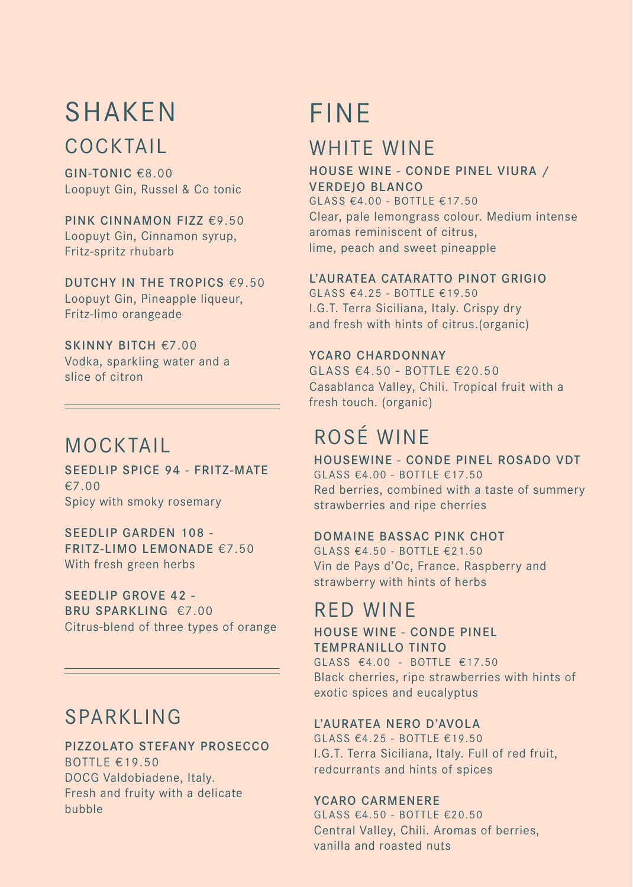### SHAKEN **COCKTAIL**

GIN-TONIC €8.00 Loopuyt Gin, Russel & Co tonic

PINK CINNAMON FIZZ €9.50 Loopuyt Gin, Cinnamon syrup, Fritz-spritz rhubarb

DUTCHY IN THE TROPICS €9.50 Loopuyt Gin, Pineapple liqueur, Fritz-limo orangeade

SKINNY BITCH €7.00 Vodka, sparkling water and a slice of citron

### MOCKTAIL

SEEDLIP SPICE 94 - FRITZ-MATE €7.00 Spicy with smoky rosemary

SEEDLIP GARDEN 108 - FRITZ-LIMO LEMONADE €7.50 With fresh green herbs

SEEDLIP GROVE 42 - BRU SPARKLING €7.00 Citrus-blend of three types of orange

### SPARKLING

### PIZZOLATO STEFANY PROSECCO

BOTTLE €19.50 DOCG Valdobiadene, Italy. Fresh and fruity with a delicate bubble

## FINE

### WHITE WINE

### HOUSE WINE - CONDE PINEL VIURA / VERDEJO BLANCO

GLASS €4.00 - BOTTLE €17.50 Clear, pale lemongrass colour. Medium intense aromas reminiscent of citrus, lime, peach and sweet pineapple

### L'AURATEA CATARATTO PINOT GRIGIO

GLASS  $64.25 - BOTTI F 619.50$ I.G.T. Terra Siciliana, Italy. Crispy dry and fresh with hints of citrus.(organic)

### YCARO CHARDONNAY

GLASS €4.50 - BOTTLE €20.50 Casablanca Valley, Chili. Tropical fruit with a fresh touch. (organic)

### ROSÉ WINE

HOUSEWINE - CONDE PINEL ROSADO VDT GLASS €4.00 - BOTTLE €17.50 Red berries, combined with a taste of summery strawberries and ripe cherries

### DOMAINE BASSAC PINK CHOT

GLASS €4.50 - BOTTLE €21.50 Vin de Pays d'Oc, France. Raspberry and strawberry with hints of herbs

### RED WINE

### HOUSE WINE - CONDE PINEL TEMPRANILLO TINTO

GLASS  $€4.00 -$  BOTTLE  $€17.50$ Black cherries, ripe strawberries with hints of exotic spices and eucalyptus

### L'AURATEA NERO D'AVOLA

GLASS €4.25 - BOTTLE €19.50 I.G.T. Terra Siciliana, Italy. Full of red fruit, redcurrants and hints of spices

### YCARO CARMENERE

GLASS €4.50 - BOTTLE €20.50 Central Valley, Chili. Aromas of berries, vanilla and roasted nuts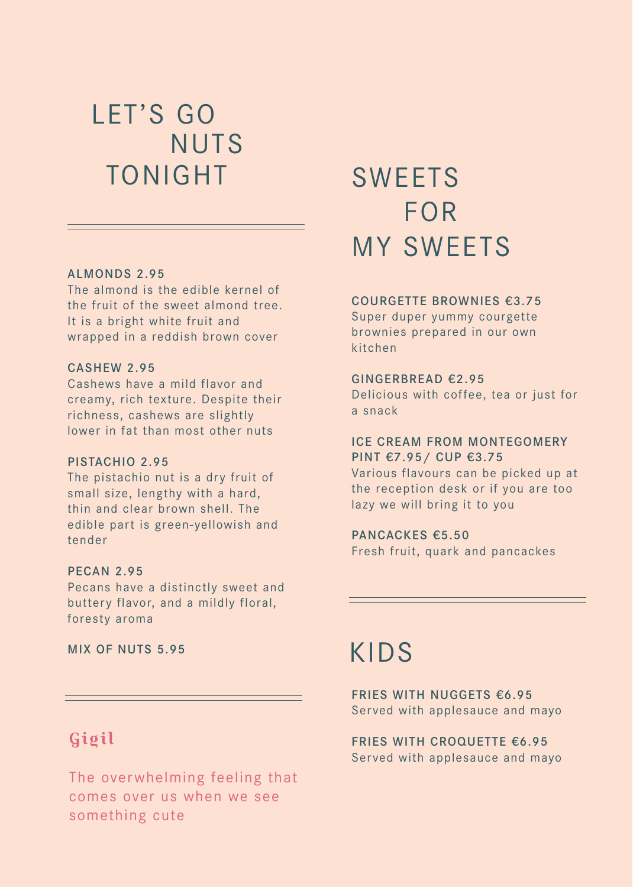## LET'S GO NUTS TONIGHT SWEETS

#### ALMONDS 2.95

The almond is the edible kernel of the fruit of the sweet almond tree. It is a bright white fruit and wrapped in a reddish brown cover

### CASHEW 2.95

Cashews have a mild flavor and creamy, rich texture. Despite their richness, cashews are slightly lower in fat than most other nuts

#### PISTACHIO 2.95

The pistachio nut is a dry fruit of small size, lengthy with a hard, thin and clear brown shell. The edible part is green-yellowish and tender

### PECAN 2.95

Pecans have a distinctly sweet and buttery flavor, and a mildly floral, foresty aroma

MIX OF NUTS 5.95

### Gigil

The overwhelming feeling that comes over us when we see something cute

# FOR MY SWEETS

### COURGETTE BROWNIES €3.75

Super duper yummy courgette brownies prepared in our own kitchen

### GINGERBREAD €2.95

Delicious with coffee, tea or just for a snack

#### ICE CREAM FROM MONTEGOMERY PINT €7.95/ CUP €3.75

Various flavours can be picked up at the reception desk or if you are too lazy we will bring it to you

### PANCACKES €5.50

Fresh fruit, quark and pancackes

## KIDS

FRIES WITH NUGGETS €6.95 Served with applesauce and mayo

FRIES WITH CROQUETTE €6.95 Served with applesauce and mayo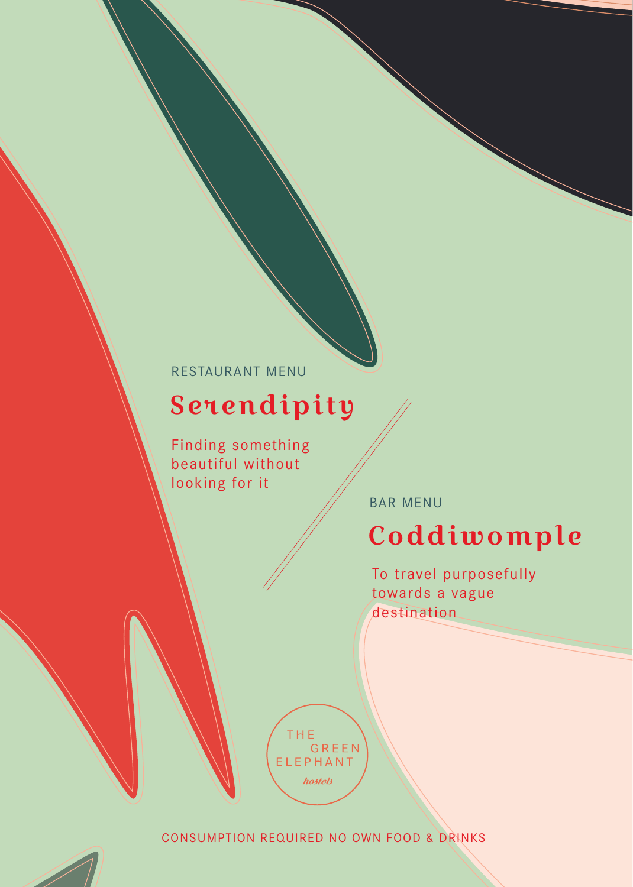RESTAURANT MENU

### Serendipity

Finding something beautiful without looking for it

BAR MENU

## Coddiwomple

To travel purposefully towards a vague destination

THE GREEN ELEPHANT hostels

CONSUMPTION REQUIRED NO OWN FOOD & DRINKS

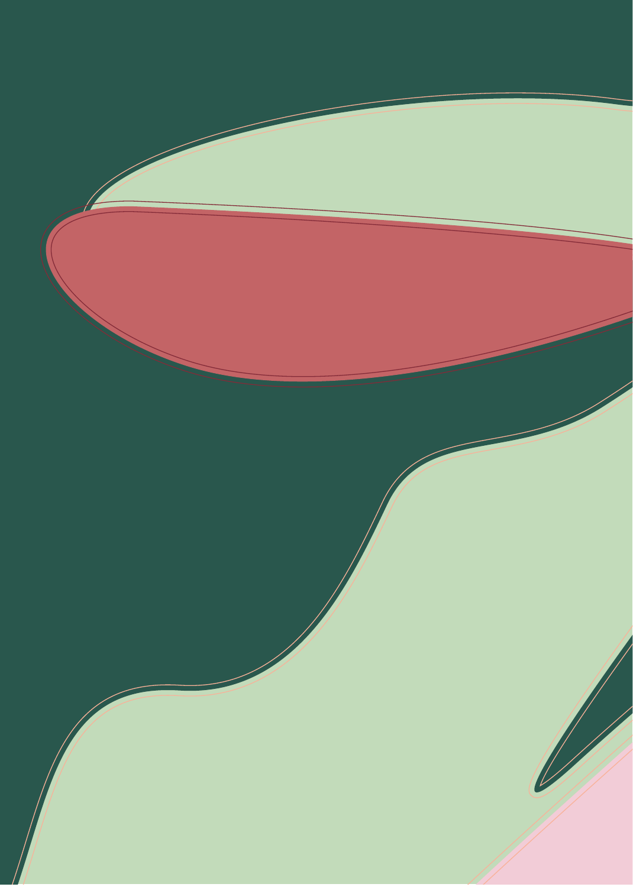